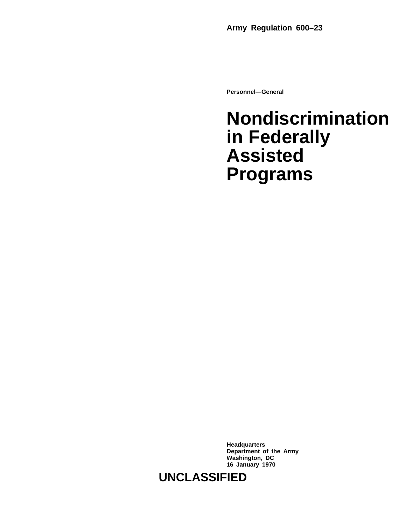**Personnel—General**

# **Nondiscrimination in Federally Assisted Programs**

**Headquarters Department of the Army Washington, DC 16 January 1970**

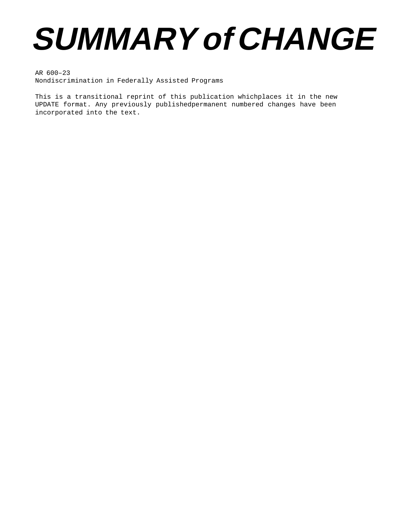# **SUMMARY of CHANGE**

AR 600–23 Nondiscrimination in Federally Assisted Programs

This is a transitional reprint of this publication whichplaces it in the new UPDATE format. Any previously publishedpermanent numbered changes have been incorporated into the text.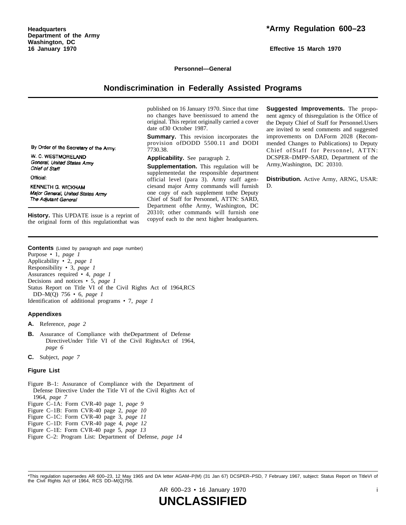**Effective 15 March 1970**

#### **Personnel—General**

#### **Nondiscrimination in Federally Assisted Programs**

published on 16 January 1970. Since that time no changes have been issued to amend the original. This reprint originally carried a cover date of30 October 1987.

**Summary.** This revision incorporates the provision of DODD 5500.11 and DODI 7730.38.

**Applicability.** See paragraph 2.

**Supplementation.** This regulation will be supplementedat the responsible department official level (para 3). Army staff agenciesand major Army commands will furnish one copy of each supplement tothe Deputy Chief of Staff for Personnel, ATTN: SARD, Department of the Army, Washington, DC  $20\overline{3}10$ ; other commands will furnish one copyof each to the next higher headquarters.

**Suggested Improvements.** The proponent agency of thisregulation is the Office of the Deputy Chief of Staff for Personnel.Users are invited to send comments and suggested improvements on DAForm 2028 (Recommended Changes to Publications) to Deputy Chief of Staff for Personnel, ATTN: DCSPER–DMPP–SARD, Department of the Army,Washington, DC 20310.

**Distribution.** Active Army, ARNG, USAR: D.

By Order of the Secretary of the Army:

W. C. WESTMORELAND General, United States Army Chief of Staff

Official:

KENNETH G. WICKHAM Major General, United States Army The Adjutant General

**History.** This UPDATE issue is a reprint of the original form of this regulationthat was

**Contents** (Listed by paragraph and page number) Purpose • 1, *page 1* Applicability • 2, *page 1* Responsibility • 3, *page 1* Assurances required • 4, *page 1* Decisions and notices • 5, *page 1* Status Report on Title VI of the Civil Rights Act of 1964,RCS DD–M(Q) 756 • 6, *page 1* Identification of additional programs • 7, *page 1*

#### **Appendixes**

**A.** Reference, *page 2*

- **B.** Assurance of Compliance with theDepartment of Defense DirectiveUnder Title VI of the Civil RightsAct of 1964, *page 6*
- **C.** Subject, *page 7*

#### **Figure List**

- Figure B–1: Assurance of Compliance with the Department of Defense Directive Under the Title VI of the Civil Rights Act of 1964, *page 7*
- Figure C–1A: Form CVR-40 page 1, *page 9*
- Figure C–1B: Form CVR-40 page 2, *page 10*
- Figure C–1C: Form CVR-40 page 3, *page 11*
- Figure C–1D: Form CVR-40 page 4, *page 12*
- Figure C–1E: Form CVR-40 page 5, *page 13*
- Figure C–2: Program List: Department of Defense, *page 14*

AR 600–23 • 16 January 1970 i

<sup>\*</sup>This regulation supersedes AR 600–23, 12 May 1965 and DA letter AGAM–P(M) (31 Jan 67) DCSPER–PSD, 7 February 1967, subject: Status Report on TitleVI of the Civil Rights Act of 1964, RCS DD–M(Q)756.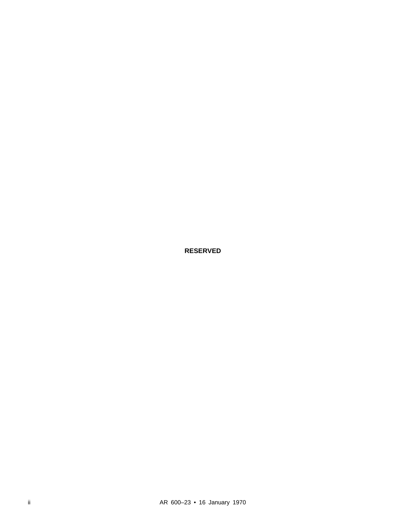**RESERVED**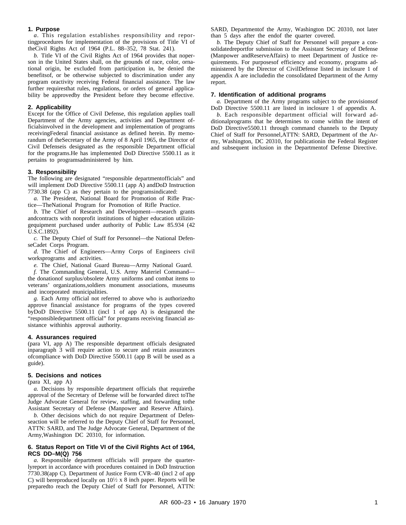#### **1. Purpose**

*a*. This regulation establishes responsibility and reportingprocedures for implementation of the provisions of Title VI of theCivil Rights Act of 1964 (P.L. 88–352, 78 Stat. 241).

*b.* Title VI of the Civil Rights Act of 1964 provides that noperson in the United States shall, on the grounds of race, color, ornational origin, be excluded from participation in, be denied the benefitsof, or be otherwise subjected to discrimination under any program oractivity receiving Federal financial assistance. The law further requiresthat rules, regulations, or orders of general applicability be approvedby the President before they become effective.

#### **2. Applicability**

Except for the Office of Civil Defense, this regulation applies toall Department of the Army agencies, activities and Department officialsinvolved in the development and implementation of programs receivingFederal financial assistance as defined herein. By memorandum of theSecretary of the Army of 8 April 1965, the Director of Civil Defenseis designated as the responsible Department official for the programs.He has implemented DoD Directive 5500.11 as it pertains to programsadministered by him.

#### **3. Responsibility**

The following are designated "responsible departmentofficials" and will implement DoD Directive 5500.11 (app A) andDoD Instruction 7730.38 (app C) as they pertain to the programsindicated:

*a.* The President, National Board for Promotion of Rifle Practice—TheNational Program for Promotion of Rifle Practice.

*b*. The Chief of Research and Development—research grants andcontracts with nonprofit institutions of higher education utilizingequipment purchased under authority of Public Law 85.934 (42 U.S.C.1892).

*c.* The Deputy Chief of Staff for Personnel—the National DefenseCadet Corps Program.

*d.* The Chief of Engineers—Army Corps of Engineers civil worksprograms and activities.

*e.* The Chief, National Guard Bureau—Army National Guard.

*f.* The Commanding General, U.S. Army Materiel Command the donationof surplus/obsolete Army uniforms and combat items to veterans' organizations,soldiers monument associations, museums and incorporated municipalities.

*g.* Each Army official not referred to above who is authorizedto approve financial assistance for programs of the types covered by DoD Directive 5500.11 (incl 1 of app A) is designated the "responsibledepartment official" for programs receiving financial assistance withinhis approval authority.

#### **4. Assurances required**

(para VI, app A) The responsible department officials designated inparagraph 3 will require action to secure and retain assurances ofcompliance with DoD Directive 5500.11 (app B will be used as a guide).

#### **5. Decisions and notices**

(para XI, app A)

*a.* Decisions by responsible department officials that requirethe approval of the Secretary of Defense will be forwarded direct toThe Judge Advocate General for review, staffing, and forwarding tothe Assistant Secretary of Defense (Manpower and Reserve Affairs).

*b.* Other decisions which do not require Department of Defenseaction will be referred to the Deputy Chief of Staff for Personnel, ATTN: SARD, and The Judge Advocate General, Department of the Army,Washington DC 20310, for information.

#### **6. Status Report on Title VI of the Civil Rights Act of 1964, RCS DD–M(Q) 756**

*a*. Responsible department officials will prepare the quarterlyreport in accordance with procedures contained in DoD Instruction 7730.38(app C). Department of Justice Form CVR–40 (incl 2 of app C) will bereproduced locally on  $10\frac{1}{2}$  x 8 inch paper. Reports will be preparedto reach the Deputy Chief of Staff for Personnel, ATTN:

SARD, Departmentof the Army, Washington DC 20310, not later than 5 days after the endof the quarter covered.

*b.* The Deputy Chief of Staff for Personnel will prepare a consolidatedreportfor submission to the Assistant Secretary of Defense (Manpower andReserveAffairs) to meet Department of Justice requirements. For purposesof efficiency and economy, programs administered by the Director of CivilDefense listed in inclosure 1 of appendix A are includedin the consolidated Department of the Army report.

#### **7. Identification of additional programs**

*a.* Department of the Army programs subject to the provisionsof DoD Directive 5500.11 are listed in inclosure 1 of appendix A.

*b*. Each responsible department official will forward additionalprograms that he determines to come within the intent of DoD Directive5500.11 through command channels to the Deputy Chief of Staff for Personnel,ATTN: SARD, Department of the Army, Washington, DC 20310, for publicationin the Federal Register and subsequent inclusion in the Departmentof Defense Directive.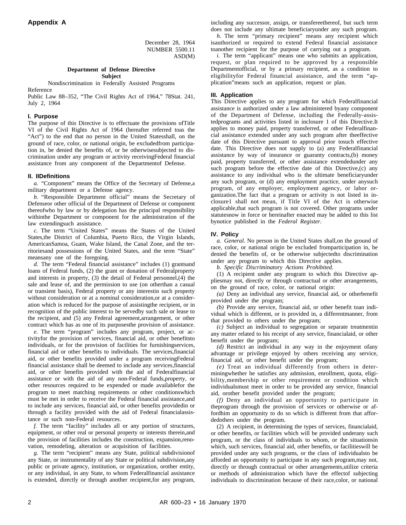December 28, 1964 NUMBER 5500.11 ASD(M)

### **Department of Defense Directive**

**Subject**

Nondiscrimination in Federally Assisted Programs Reference

Public Law 88–352, "The Civil Rights Act of 1964," 78Stat. 241, July 2, 1964

#### **I. Purpose**

The purpose of this Directive is to effectuate the provisions ofTitle VI of the Civil Rights Act of 1964 (hereafter referred toas the "Act") to the end that no person in the United Statesshall, on the ground of race, color, or national origin, be excludedfrom participation in, be denied the benefits of, or be otherwisesubjected to discrimination under any program or activity receivingFederal financial assistance from any component of the Departmentof Defense.

#### **II. IIDefinitions**

*a.* "Component" means the Office of the Secretary of Defense,a military department or a Defense agency.

*b.* "Responsible Department official" means the Secretary of Defenseor other official of the Department of Defense or component thereofwho by law or by delegation has the principal responsibility withinthe Department or component for the administration of the law extendingsuch assistance.

*c*. The term "United States" means the States of the United States,the District of Columbia, Puerto Rico, the Virgin Islands, AmericanSamoa, Guam, Wake Island, the Canal Zone, and the territoriesand possessions of the United States, and the term "State" meansany one of the foregoing.

*d.* The term "Federal financial assistance" includes (1) grantsand loans of Federal funds, (2) the grant or donation of Federalproperty and interests in property, (3) the detail of Federal personnel,(4) the sale and lease of, and the permission to use (on otherthan a casual or transient basis), Federal property or any interestin such property without consideration or at a nominal consideration,or at a consideration which is reduced for the purpose of assistingthe recipient, or in recognition of the public interest to be servedby such sale or lease to the recipient, and (5) any Federal agreement,arrangement, or other contract which has as one of its purposesthe provision of assistance.

*e.* The term "program" includes any program, project, or activityfor the provision of services, financial aid, or other benefitsto individuals, or for the provision of facilities for furnishingservices, financial aid or other benefits to individuals. The services,financial aid, or other benefits provided under a program receivingFederal financial assistance shall be deemed to include any services,financial aid, or other benefits provided with the aid of Federalfinancial assistance or with the aid of any non-Federal funds,property, or other resources required to be expended or made availablefor the program to meet matching requirements or other conditionswhich must be met in order to receive the Federal financial assistance,and to include any services, financial aid, or other benefits providedin or through a facility provided with the aid of Federal financialassistance or such non-Federal resources.

*f.* The term "facility" includes all or any portion of structures, equipment, or other real or personal property or interests therein,and the provision of facilities includes the construction, expansion,renovation, remodeling, alteration or acquisition of facilities.

*g.* The term "recipient" means any State, political subdivisionof any State, or instrumentality of any State or political subdivision,any public or private agency, institution, or organization, orother entity, or any individual, in any State, to whom Federalfinancial assistance is extended, directly or through another recipient,for any program,

including any successor, assign, or transfereethereof, but such term does not include any ultimate beneficiaryunder any such program.

*h*. The term "primary recipient" means any recipient which is authorized or required to extend Federal financial assistance toanother recipient for the purpose of carrying out a program.

*i.* The term "applicant" means one who submits an application, request, or plan required to be approved by a responsible Departmentofficial, or by a primary recipient, as a condition to eligibilityfor Federal financial assistance, and the term "application"means such an application, request or plan.

#### **III. Application**

This Directive applies to any program for which Federalfinancial assistance is authorized under a law administered byany component of the Department of Defense, including the Federally-assistedprograms and activities listed in inclosure 1 of this Directive.It applies to money paid, property transferred, or other Federalfinancial assistance extended under any such program after theeffective date of this Directive pursuant to approval prior tosuch effective date. This Directive does not supply to (a) any Federalfinancial assistance by way of insurance or guaranty contracts,(b) money paid, property transferred, or other assistance extendedunder any such program before the effective date of this Directive,(c) any assistance to any individual who is the ultimate beneficiaryunder any such program, or (d) any employment practice, under anysuch program, of any employer, employment agency, or labor organization.The fact that a program or activity is not listed in inclosure1 shall not mean, if Title VI of the Act is otherwise applicable,that such program is not covered. Other programs under statutesnow in force or hereinafter enacted may be added to this list bynotice published in the *Federal Register.*

#### **IV. Policy**

*a. General.* No person in the United States shall,on the ground of race, color, or national origin be excluded fromparticipation in, be denied the benefits of, or be otherwise subjectedto discrimination under any program to which this Directive applies.

*b. Specific Discriminatory Actions Prohibited.*

(1) A recipient under any program to which this Directive appliesmay not, directly or through contractual or other arrangements, on the ground of race, color, or national origin:

*(a)* Deny an individual any service, financial aid, or otherbenefit provided under the program;

*(b)* Provide any service, financial aid, or other benefit toan individual which is different, or is provided in, a differentmanner, from that provided to others under the program;

*(c)* Subject an individual to segregation or separate treatmentin any matter related to his receipt of any service, financialaid, or other benefit under the program;

*(d)* Restrict an individual in any way in the enjoyment ofany advantage or privilege enjoyed by others receiving any service, financial aid, or other benefit under the program;

*(e)* Treat an individual differently from others in determiningwhether he satisfies any admission, enrollment, quota, eligibility, membership or other requirement or condition which individualsmust meet in order to be provided any service, financial aid, orother benefit provided under the program;

*(f)* Deny an individual an opportunity to participate in theprogram through the provision of services or otherwise or affordhim an opportunity to do so which is different from that affordedothers under the program.

(2) A recipient, in determining the types of services, financialaid, or other benefits, or facilities which will be provided underany such program, or the class of individuals to whom, or the situationsin which, such services, financial aid, other benefits, or facilitieswill be provided under any such programs, or the class of individualsto be afforded an opportunity to participate in any such program,may not, directly or through contractual or other arrangements,utilize criteria or methods of administration which have the effectof subjecting individuals to discrimination because of their race,color, or national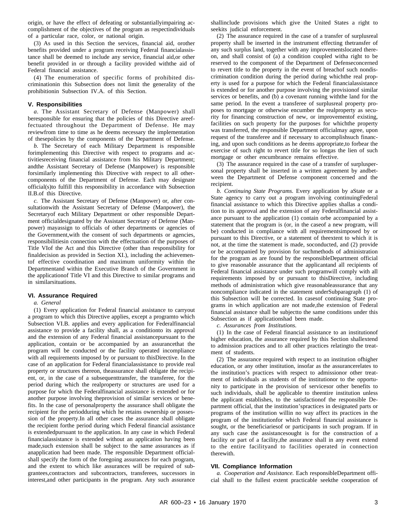origin, or have the effect of defeating or substantiallyimpairing accomplishment of the objectives of the program as respectindividuals of a particular race, color, or national origin.

(3) As used in this Section the services, financial aid, orother benefits provided under a program receiving Federal financialassistance shall be deemed to include any service, financial aid,or other benefit provided in or through a facility provided withthe aid of Federal financial assistance.

(4) The enumeration of specific forms of prohibited discriminationin this Subsection does not limit the generality of the prohibitionin Subsection IV.A. of this Section.

#### **V. Responsibilities**

*a*. The Assistant Secretary of Defense (Manpower) shall beresponsible for ensuring that the policies of this Directive areeffectuated throughout the Department of Defense. He may reviewfrom time to time as he deems necessary the implementation of thesepolicies by the components of the Department of Defense.

*b*. The Secretary of each Military Department is responsible forimplementing this Directive with respect to programs and activitiesreceiving financial assistance from his Military Department; andthe Assistant Secretary of Defense (Manpower) is responsible forsimilarly implementing this Directive with respect to all othercomponents of the Department of Defense. Each may designate official(s)to fulfill this responsibility in accordance with Subsection II.B.of this Directive.

*c.* The Assistant Secretary of Defense (Manpower) or, after consultationwith the Assistant Secretary of Defense (Manpower), the Secretaryof each Military Department or other responsible Department officialdesignated by the Assistant Secretary of Defense (Manpower) mayassign to officials of other departments or agencies of the Government,with the consent of such departments or agencies, responsibilitiesin connection with the effectuation of the purposes of Title VIof the Act and this Directive (other than responsibility for finaldecision as provided in Section XI.), including the achievementof effective coordination and maximum uniformity within the Departmentand within the Executive Branch of the Government in the applicationof Title VI and this Directive to similar programs and in similarsituations.

#### **VI. Assurance Required**

#### *a. General*

(1) Every application for Federal financial assistance to carryout a program to which this Directive applies, except a programto which Subsection VI.B. applies and every application for Federalfinancial assistance to provide a facility shall, as a conditionto its approval and the extension of any Federal financial assistancepursuant to the application, contain or be accompanied by an assurancethat the program will be conducted or the facility operated incompliance with all requirements imposed by or pursuant to thisDirective. In the case of an application for Federal financialassistance to provide real property or structures thereon, theassurance shall obligate the recipient, or, in the case of a subsequenttransfer, the transferee, for the period during which the realproperty or structures are used for a purpose for which the Federalfinancial assistance is extended or for another purpose involving theprovision of similar services or benefits. In the case of personalproperty the assurance shall obligate the recipient for the periodduring which he retains ownership or possession of the property.In all other cases the assurance shall obligate the recipient forthe period during which Federal financial assistance is extendedpursuant to the application. In any case in which Federal financialassistance is extended without an application having been made,such extension shall be subject to the same assurances as if anapplication had been made. The responsible Department officialshall specify the form of the foregoing assurances for each program, and the extent to which like assurances will be required of subgrantees,contractors and subcontractors, transferees, successors in interest,and other participants in the program. Any such assurance

shallinclude provisions which give the United States a right to seekits judicial enforcement.

(2) The assurance required in the case of a transfer of surplusreal property shall be inserted in the instrument effecting thetransfer of any such surplus land, together with any improvementslocated thereon, and shall consist of (a) a condition coupled witha right to be reserved to the component of the Department of Defenseconcerned to revert title to the property in the event of breachof such nondiscrimination condition during the period during whichthe real property is used for a purpose for which the Federal financialassistance is extended or for another purpose involving the provisionof similar services or benefits, and (b) a covenant running withthe land for the same period. In the event a transferee of surplusreal property proposes to mortgage or otherwise encumber the realproperty as security for financing construction of new, or improvementof existing, facilities on such property for the purposes for whichthe property was transferred, the responsible Department officialmay agree, upon request of the transferee and if necessary to accomplishsuch financing, and upon such conditions as he deems appropriate,to forbear the exercise of such right to revert title for so longas the lien of such mortgage or other encumbrance remains effective.

(3) The assurance required in the case of a transfer of surpluspersonal property shall be inserted in a written agreement by andbetween the Department of Defense component concerned and the recipient.

*b. Continuing State Programs.* Every application by aState or a State agency to carry out a program involving continuingFederal financial assistance to which this Directive applies shallas a condition to its approval and the extension of any Federalfinancial assistance pursuant to the application (1) contain orbe accompanied by a statement that the program is (or, in the caseof a new program, will be) conducted in compliance with all requirementsimposed by or pursuant to this Directive, or a statement of theextent to which it is not, at the time the statement is made, soconducted, and (2) provide or be accompanied by provision for suchmethods of administration for the program as are found by the responsibleDepartment official to give reasonable assurance that the applicantand all recipients of Federal financial assistance under such programwill comply with all requirements imposed by or pursuant to thisDirective, including methods of administration which give reasonableassurance that any noncompliance indicated in the statement underSubparagraph (1) of this Subsection will be corrected. In casesof continuing State programs in which application are not made,the extension of Federal financial assistance shall be subjectto the same conditions under this Subsection as if applicationshad been made.

*c. Assurances from Institutions.*

(1) In the case of Federal financial assistance to an institutionof higher education, the assurance required by this Section shallextend to admission practices and to all other practices relatingto the treatment of students.

(2) The assurance required with respect to an institution ofhigher education, or any other institution, insofar as the assurancerelates to the institution's practices with respect to admissionor other treatment of individuals as students of the institutionor to the opportunity to participate in the provision of servicesor other benefits to such individuals, shall be applicable to theentire institution unless the applicant establishes, to the satisfactionof the responsible Department official, that the institution'spractices in designated parts or programs of the institution willin no way affect its practices in the program of the institutionfor which Federal financial assistance is sought, or the beneficiariesof or participants in such program. If in any such case the assistancesought is for the construction of a facility or part of a facility,the assurance shall in any event extend to the entire facilityand to facilities operated in connection therewith.

#### **VII. Compliance Information**

*a. Cooperation and Assistance.* Each responsibleDepartment official shall to the fullest extent practicable seekthe cooperation of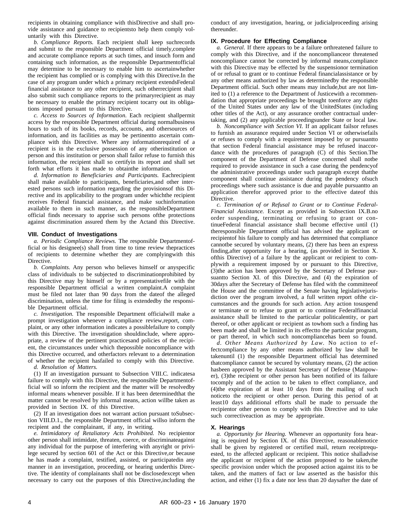recipients in obtaining compliance with thisDirective and shall provide assistance and guidance to recipientsto help them comply voluntarily with this Directive.

*b. Compliance Reports.* Each recipient shall keep suchrecords and submit to the responsible Department official timely,complete and accurate compliance reports at such times, and insuch form and containing such information, as the responsible Departmentofficial may determine to be necessary to enable him to ascertainwhether the recipient has complied or is complying with this Directive.In the case of any program under which a primary recipient extendsFederal financial assistance to any other recipient, such otherrecipient shall also submit such compliance reports to the primaryrecipient as may be necessary to enable the primary recipient tocarry out its obligations imposed pursuant to this Directive.

*c. Access to Sources of Information*. Each recipient shallpermit access by the responsible Department official during normalbusiness hours to such of its books, records, accounts, and othersources of information, and its facilities as may be pertinentto ascertain compliance with this Directive. Where any informationrequired of a recipient is in the exclusive possession of any otherinstitution or person and this institution or person shall failor refuse to furnish this information, the recipient shall so certifyin its report and shall set forth what efforts it has made to obtainthe information.

*d. Information to Beneficiaries and Participants.* Eachrecipient shall make available to participants, beneficiaries,and other interested persons such information regarding the provisionsof this Directive and its applicability to the program under whichthe recipient receives Federal financial assistance, and make suchinformation available to them in such manner, as the responsibleDepartment official finds necessary to apprise such persons ofthe protections against discrimination assured them by the Actand this Directive.

#### **VIII. Conduct of Investigations**

*a. Periodic Compliance Reviews.* The responsible Departmentofficial or his designee(s) shall from time to time review thepractices of recipients to determine whether they are complyingwith this Directive.

*b. Complaints.* Any person who believes himself or anyspecific class of individuals to be subjected to discriminationprohibited by this Directive may by himself or by a representativefile with the responsible Department official a written complaint.A complaint must be filed not later than 90 days from the dateof the alleged discrimination, unless the time for filing is extendedby the responsible Department official.

*c. Investigation.* The responsible Department officialwill make a prompt investigation whenever a compliance review,report, complaint, or any other information indicates a possiblefailure to comply with this Directive. The investigation shouldinclude, where appropriate, a review of the pertinent practicesand policies of the recipient, the circumstances under which thepossible noncompliance with this Directive occurred, and otherfactors relevant to a determination of whether the recipient hasfailed to comply with this Directive.

*d. Resolution of Matters.*

(1) If an investigation pursuant to Subsection VIII.C. indicatesa failure to comply with this Directive, the responsible Departmentofficial will so inform the recipient and the matter will be resolvedby informal means whenever possible. If it has been determinedthat the matter cannot be resolved by informal means, action willbe taken as provided in Section IX. of this Directive.

(2) If an investigation does not warrant action pursuant toSubsection VIII.D.1., the responsible Department official willso inform the recipient and the complainant, if any, in writing.

*e. Intimidatory of Retaliatory Acts Prohibited. No recipientor* other person shall intimidate, threaten, coerce, or discriminateagainst any individual for the purpose of interfering with anyright or privilege secured by section 601 of the Act or this Directive,or because he has made a complaint, testified, assisted, or participatedin any manner in an investigation, proceeding, or hearing underthis Directive. The identity of complainants shall not be disclosedexcept when necessary to carry out the purposes of this Directive,including the

conduct of any investigation, hearing, or judicialproceeding arising thereunder.

#### **IX. Procedure for Effecting Compliance**

*a. General.* If there appears to be a failure orthreatened failure to comply with this Directive, and if the noncomplianceor threatened noncompliance cannot be corrected by informal means,compliance with this Directive may be effected by the suspensionor termination of or refusal to grant or to continue Federal financialassistance or by any other means authorized by law as determinedby the responsible Department official. Such other means may include,but are not limited to (1) a reference to the Department of Justicewith a recommendation that appropriate proceedings be brought toenforce any rights of the United States under any law of the UnitedStates (including other titles of the Act), or any assurance orother contractual undertaking, and (2) any applicable proceedingsunder State or local law.

*b. Noncompliance with Section VI.* If an applicant failsor refuses to furnish an assurance required under Section VI or otherwisefails or refuses to comply with a requirement imposed by or pursuantto that section Federal financial assistance may be refused inaccordance with the procedures of paragraph (C) of this Section.The component of the Department of Defense concerned shall notbe required to provide assistance in such a case during the pendencyof the administrative proceedings under such paragraph except thatthe component shall continue assistance during the pendency ofsuch proceedings where such assistance is due and payable pursuantto an application therefor approved prior to the effective dateof this Directive.

*c. Termination of or Refusal to Grant or to Continue Federal-Financial Assistance.* Except as provided in Subsection IX.B.no order suspending, terminating or refusing to grant or continueFederal financial assistance shall become effective until (1) theresponsible Department official has advised the applicant or recipientof his failure to comply and has determined that compliance cannotbe secured by voluntary means, (2) there has been an express finding,after opportunity for a hearing, (as provided in Section X. ofthis Directive) of a failure by the applicant or recipient to complywith a requirement imposed by or pursuant to this Directive, (3)the action has been approved by the Secretary of Defense pursuantto Section XI. of this Directive, and (4) the expiration of 30days after the Secretary of Defense has filed with the committeeof the House and the committee of the Senate having legislativejurisdiction over the program involved, a full written report ofthe circumstances and the grounds for such action. Any action tosuspend or terminate or to refuse to grant or to continue Federalfinancial assistance shall be limited to the particular politicalentity, or part thereof, or other applicant or recipient as towhom such a finding has been made and shall be limited in its effectto the particular program, or part thereof, in which such noncompliancehas been so found.

*d. Other Means Authorized by Law. No action to ef*fectcompliance by any other means authorized by law shall be takenuntil (1) the responsible Department official has determined thatcompliance cannot be secured by voluntary means, (2) the action hasbeen approved by the Assistant Secretary of Defense (Manpower), (3)the recipient or other person has been notified of its failure tocomply and of the action to be taken to effect compliance, and (4)the expiration of at least 10 days from the mailing of such noticeto the recipient or other person. During this period of at least 10 days additional efforts shall be made to persuade the recipientor other person to comply with this Directive and to take such correctiveaction as may be appropriate.

#### **X. Hearings**

*a. Opportunity for Hearing.* Whenever an opportunity fora hearing is required by Section IX. of this Directive, reasonablenotice shall be given by registered or certified mail, return receiptrequested, to the affected applicant or recipient. This notice shalladvise the applicant or recipient of the action proposed to be taken,the specific provision under which the proposed action against itis to be taken, and the matters of fact or law asserted as the basisfor this action, and either (1) fix a date nor less than 20 daysafter the date of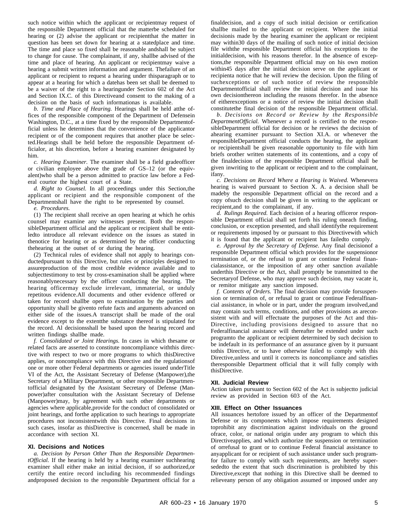such notice within which the applicant or recipientmay request of the responsible Department official that the matterbe scheduled for hearing or (2) advise the applicant or recipientthat the matter in question has been set down for hearing at a statedplace and time. The time and place so fixed shall be reasonable andshall be subject to change for cause. The complainant, if any, shallbe advised of the time and place of hearing. An applicant or recipientmay waive a hearing a submit written information and argument. Thefailure of an applicant or recipient to request a hearing under thisparagraph or to appear at a hearing for which a datehas been set shall be deemed to be a waiver of the right to a hearingunder Section 602 of the Act and Section IX.C. of this Directiveand consent to the making of a decision on the basis of such informationas is available.

*b. Time and Place of Hearing.* Hearings shall be held atthe offices of the responsible component of the Department of Defensein Washington, D.C., at a time fixed by the responsible Departmentofficial unless he determines that the convenience of the applicantor recipient or of the component requires that another place be selected.Hearings shall be held before the responsible Department officialor, at his discretion, before a hearing examiner designated by him.

*c. Hearing Examiner.* The examiner shall be a field gradeofficer or civilian employee above the grade of GS–12 (or the equivalent)who shall be a person admitted to practice law before a Federal courtor the highest court of a State.

*d. Right to Counsel.* In all proceedings under this Section,the applicant or recipient and the responsible component of the Departmentshall have the right to be represented by counsel.

*e. Procedures.*

(1) The recipient shall receive an open hearing at which he orhis counsel may examine any witnesses present. Both the responsibleDepartment official and the applicant or recipient shall be entitledto introduce all relevant evidence on the issues as stated in thenotice for hearing or as determined by the officer conducting thehearing at the outset of or during the hearing.

(2) Technical rules of evidence shall not apply to hearings conductedpursuant to this Directive, but rules or principles designed to assureproduction of the most credible evidence available and to subjecttestimony to test by cross-examination shall be applied where reasonablynecessary by the officer conducting the hearing. The hearing officermay exclude irrelevant, immaterial, or unduly repetitous evidence.All documents and other evidence offered or taken for record shallbe open to examination by the parties and opportunity shall be givento refute facts and arguments advanced on either side of the issues.A transcript shall be made of the oral evidence except to the extentthe substance thereof is stipulated for the record. Al decisionsshall be based upon the hearing record and written findings shallbe made.

*f. Consolidated or Joint Hearings.* In cases in which thesame or related facts are asserted to constitute noncompliance withthis directive with respect to two or more programs to which thisDirective applies, or noncompliance with this Directive and the regulationsof one or more other Federal departments or agencies issued underTitle VI of the Act, the Assistant Secretary of Defense (Manpower),the Secretary of a Military Department, or other responsible Departmentofficial designated by the Assistant Secretary of Defense (Manpower)after consultation with the Assistant Secretary of Defense (Manpower) may, by agreement with such other departments or agencies where applicable,provide for the conduct of consolidated or joint hearings, and forthe application to such hearings to appropriate procedures not inconsistentwith this Directive. Final decisions in such cases, insofar as thisDirective is concerned, shall be made in accordance with section XI.

#### **XI. Decisions and Notices**

*a. Decision by Person Other Than the Responsible DepartmentOfficial.* If the hearing is held by a hearing examiner suchhearing examiner shall either make an initial decision, if so authorized,or certify the entire record including his recommended findings andproposed decision to the responsible Department official for a

finaldecision, and a copy of such initial decision or certification shallbe mailed to the applicant or recipient. Where the initial decisionis made by the hearing examiner the applicant or recipient may within30 days of the mailing of such notice of initial decision file withthe responsible Department official his exceptions to the initialdecision, with his reasons therefor. In the absence of exceptions,the responsible Department official may on his own motion within45 days after the initial decision serve on the applicant or recipienta notice that he will review the decision. Upon the filing of such exceptions or of such notice of review the responsible Departmentofficial shall review the initial decision and issue his own decisionthereon including the reasons therefor. In the absence of eitherexceptions or a notice of review the initial decision shall constitutethe final decision of the responsible Department official.

*b. Decisions on Record or Review by the Responsible DepartmentOfficial.* Whenever a record is certified to the responsibleDepartment official for decision or he reviews the decision of ahearing examiner pursuant to Section XI.A. or whenever the responsibleDepartment official conducts the hearing, the applicant or recipientshall be given reasonable opportunity to file with him briefs orother written statements of its contentions, and a copy of the finaldecision of the responsible Department official shall be given inwriting to the applicant or recipient and to the complainant, ifany.

*c. Decisions on Record Where a Hearing is Waived.* Whenevera hearing is waived pursuant to Section X. A. a decision shall be madeby the responsible Department official on the record and a copy ofsuch decision shall be given in writing to the applicant or recipient,and to the complainant, if any.

*d. Rulings Required.* Each decision of a hearing officeror responsible Department official shall set forth his ruling oneach finding, conclusion, or exception presented, and shall identifythe requirement or requirements imposed by or pursuant to this Directivewith which it is found that the applicant or recipient has failedto comply.

*e. Approval by the Secretary of Defense.* Any final decisionof a responsible Department official which provides for the suspensionor termination of, or the refusal to grant or continue Federal financialassistance, or the imposition of any other sanction available underthis Directive or the Act, shall promptly be transmitted to the Secretaryof Defense, who may approve such decision, may vacate it, or remitor mitigate any sanction imposed.

*f. Contents of Orders.* The final decision may provide forsuspension or termination of, or refusal to grant or continue Federalfinancial assistance, in whole or in part, under the program involved,and may contain such terms, conditions, and other provisions as areconsistent with and will effectuate the purposes of the Act and this-Directive, including provisions designed to assure that no Federalfinancial assistance will thereafter be extended under such programto the applicant or recipient determined by such decision to be indefault in its performance of an assurance given by it pursuant tothis Directive, or to have otherwise failed to comply with this Directive,unless and until it corrects its noncompliance and satisfies theresponsible Department official that it will fully comply with thisDirective.

#### **XII. Judicial Review**

Action taken pursuant to Section 602 of the Act is subjectto judicial review as provided in Section 603 of the Act.

#### **XIII. Effect on Other Issuances**

All issuances hertofore issued by an officer of the Departmentof Defense or its components which impose requirements designed toprohibit any discrimination against individuals on the ground ofrace, color, or national origin under any program to which this Directiveapplies, and which authorize the suspension or termination of orrefusal to grant or to continue Federal financial assistance to anyapplicant for or recipient of such assistance under such programfor failure to comply with such requirements, are hereby supersededto the extent that such discrimination is prohibited by this Directive,except that nothing in this Directive shall be deemed to relieveany person of any obligation assumed or imposed under any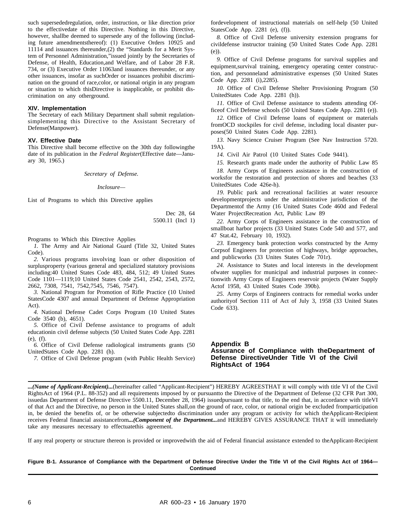such supersededregulation, order, instruction, or like direction prior to the effectivedate of this Directive. Nothing in this Directive, however, shallbe deemed to supersede any of the following (including future amendmentsthereof): (1) Executive Orders 10925 and 11114 and issuances thereunder,(2) the "Standards for a Merit System of Personnel Administration,"issued jointly by the Secretaries of Defense, of Health, Education,and Welfare, and of Labor 28 F.R. 734, or (3) Executive Order 11063and issuances thereunder, or any other issuances, insofar as suchOrder or issuances prohibit discrimination on the ground of race,color, or national origin in any program or situation to which thisDirective is inapplicable, or prohibit discrimination on any otherground.

#### **XIV. Implementation**

The Secretary of each Military Department shall submit regulationsimplementing this Directive to the Assistant Secretary of Defense(Manpower).

#### **XV. Effective Date**

This Directive shall become effective on the 30th day followingthe date of its publication in the *Federal Register*(Effective date—January 30, 1965.)

*Secretary of Defense.*

*Inclosure—*

List of Programs to which this Directive applies

Dec 28, 64 5500.11 (Incl 1)

Programs to Which this Directive Applies

*1.* The Army and Air National Guard (Title 32, United States Code).

2. Various programs involving loan or other disposition of surplusproperty (various general and specialized statutory provisions including:40 United States Code 483, 484, 512; 49 United States Code 1101—1119;10 United States Code 2541, 2542, 2543, 2572, 2662, 7308, 7541, 7542,7545, 7546, 7547).

*3.* National Program for Promotion of Rifle Practice (10 United StatesCode 4307 and annual Department of Defense Appropriation Act).

4. National Defense Cadet Corps Program (10 United States Code 3540 (b), 4651).

5. Office of Civil Defense assistance to programs of adult educationin civil defense subjects (50 United States Code App. 2281 (e), (f).

*6.* Office of Civil Defense radiological instruments grants (50 UnitedStates Code App. 2281 (h).

*7.* Office of Civil Defense program (with Public Health Service)

fordevelopment of instructional materials on self-help (50 United StatesCode App. 2281 (e), (f)).

8. Office of Civil Defense university extension programs for civildefense instructor training (50 United States Code App. 2281 (e)).

*9.* Office of Civil Defense programs for survival supplies and equipment,survival training, emergency operating center construction, and personneland administrative expenses (50 United States Code App. 2281 (i),2285).

*10.* Office of Civil Defense Shelter Provisioning Program (50 UnitedStates Code App. 2281 (h)).

*11.* Office of Civil Defense assistance to students attending Officeof Civil Defense schools (50 United States Code App. 2281 (e)).

*12.* Office of Civil Defense loans of equipment or materials fromOCD stockpiles for civil defense, including local disaster purposes(50 United States Code App. 2281).

*13.* Navy Science Cruiser Program (See Nav Instruction 5720. 19A).

*14.* Civil Air Patrol (10 United States Code 9441).

*15.* Research grants made under the authority of Public Law 85

*18.* Army Corps of Engineers assistance in the construction of worksfor the restoration and protection of shores and beaches (33 UnitedStates Code 426e-h).

*19.* Public park and recreational facilities at water resource development projects under the administrative jurisdiction of the Departmentof the Army (16 United States Code 460d and Federal Water ProjectRecreation Act, Public Law 89

*22.* Army Corps of Engineers assistance in the construction of smallboat harbor projects (33 United States Code 540 and 577, and 47 Stat.42, February 10, 1932).

*23.* Emergency bank protection works constructed by the Army Corpsof Engineers for protection of highways, bridge approaches, and publicworks (33 Unites States Code 701r).

*24.* Assistance to States and local interests in the development ofwater supplies for municipal and industrial purposes in connectionwith Army Corps of Engineers reservoir projects (Water Supply Actof 1958, 43 United States Code 390b).

*25.* Army Corps of Engineers contracts for remedial works under authorityof Section 111 of Act of July 3, 1958 (33 United States Code 633).

**Appendix B Assurance of Compliance with theDepartment of Defense DirectiveUnder Title VI of the Civil RightsAct of 1964**

*...(Name of Applicant-Recipient)...*(hereinafter called "Applicant-Recipient") HEREBY AGREESTHAT it will comply with title VI of the Civil RightsAct of 1964 (P.L. 88-352) and all requirements imposed by or pursuantto the Directive of the Department of Defense (32 CFR Part 300, issuedas Department of Defense Directive 5500.11, December 28, 1964) issuedpursuant to that title, to the end that, in accordance with titleVI of that Act and the Directive, no person in the United States shall,on the ground of race, color, or national origin be excluded fromparticipation in, be denied the benefits of, or be otherwise subjectedto discrimination under any program or activity for which theApplicant-Recipient receives Federal financial assistancefrom*...(Component of the Department...*and HEREBY GIVES ASSURANCE THAT it will immediately take any measures necessary to effectuatethis agreement.

If any real property or structure thereon is provided or improvedwith the aid of Federal financial assistance extended to theApplicant-Recipient

**Figure B-1. Assurance of Compliance with the Department of Defense Directive Under the Title VI of the Civil Rights Act of 1964— Continued**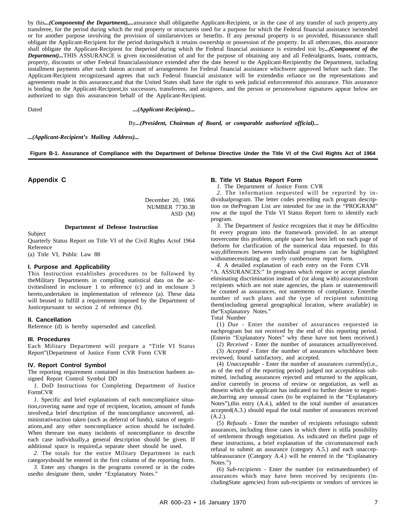by this*...(Componentof the Department),...*assurance shall obligatethe Applicant-Recipient, or in the case of any transfer of such property,any transferee, for the period during which the real property or structureis used for a purpose for which the Federal financial assistance isextended or for another purpose involving the provision of similarservices or benefits. If any personal property is so provided, thisassurance shall obligate the Applicant-Recipient for the period duringwhich it retains ownership or possession of the property. In all othercases, this assurance shall obligate the Applicant-Recipient for theperiod during which the Federal financial assistance is extended toit by*...(Component of the Department)...*THIS ASSURANCE is given inconsideration of and for the purpose of obtaining any and all Federalgrants, loans, contracts, property, discounts or other Federal financialassistance extended after the date hereof to the Applicant-Recipientby the Department, including installment payments after such dateon account of arrangements for Federal financial assistance whichwere approved before such date. The Applicant-Recipient recognizesand agrees that such Federal financial assistance will be extendedin reliance on the representations and agreements made in this assurance,and that the United States shall have the right to seek judicial enforcementof this assurance. This assurance is binding on the Applicant-Recipient,its successors, transferees, and assignees, and the person or personswhose signatures appear below are authorized to sign this assuranceon behalf of the Applicant-Recipient.

Dated *...(Applicant-Recipient)...*

By*...(President, Chairman of Board, or comparable authorized official)...*

*...(Applicant-Recipient's Mailing Address)...*

**Figure B-1. Assurance of Compliance with the Department of Defense Directive Under the Title VI of the Civil Rights Act of 1964**

**Appendix C**

December 20, 1966 NUMBER 7730.38 ASD (M)

**Department of Defense Instruction**

Subject

Quarterly Status Report on Title VI of the Civil Rights Actof 1964 Reference

(a) Title VI, Public Law 88

#### **I. Purpose and Applicability**

This Instruction establishes procedures to be followed by theMilitary Departments in compiling statistical data on the activitieslisted in enclosure 1 to reference (c) and in enclosure 3 hereto,undertaken in implementation of reference (a). These data will beused to fulfill a requirement imposed by the Department of Justicepursuant to section 2 of reference (b).

#### **II. Cancellation**

Reference (d) is hereby superseded and cancelled.

#### **III. Procedures**

Each Military Department will prepare a "Title VI Status Report"(Department of Justice Form CVR Form CVR

#### **IV. Report Control Symbol**

The reporting requirement contained in this Instruction hasbeen assigned Report Control Symbol DD

*1.* DoD Instructions for Completing Department of Justice FormCVR

*1.* Specific and brief explanations of each noncompliance situation,covering name and type of recipient, location, amount of funds involved,a brief description of the noncompliance uncovered, administrativeaction taken (such as deferral of funds), status of negotiations, and any other noncompliance action should be included. When thereare too many incidents of noncompliance to describe each case individually,a general description should be given. If additional space is required,a separate sheet should be used.

2. The totals for the entire Military Department in each categoryshould be entered in the first column of the reporting form.

*3.* Enter any changes in the programs covered or in the codes usedto designate them, under "Explanatory Notes."

#### **B. Title VI Status Report Form**

*1.* The Department of Justice Form CVR

2. The information requested will be reported by individualprogram. The letter codes preceding each program description on theProgram List are intended for use in the "PROGRAM" row at the topof the Title VI Status Report form to identify each program.

*3.* The Department of Justice recognizes that it may be difficultto fit every program into the framework provided. In an attempt toovercome this problem, ample space has been left on each page of theform for clarification of the numerical data requested. In this way,differences between individual programs can be highlighted withoutnecessitating an overly cumbersome report form.

*4.* A detailed explanation of each entry on the Form CVR "A. ASSURANCES:" In programs which require or accept plansfor eliminating discrimination instead of (or along with) assurancesfrom recipients which are not state agencies, the plans or statementswill be counted as assurances, not statements of compliance. Enterthe number of such plans and the type of recipient submitting them(including general geographical location, where available) in the"Explanatory Notes."

Total Number

(1)  $Due$  - Enter the number of assurances requested in eachprogram but not received by the end of this reporting period. (Enterin "Explanatory Notes" why these have not been received.)

(2) *Received* - Enter the number of assurances actuallyreceived.

(3) *Accepted* - Enter the number of assurances whichhave been reviewed, found satisfactory, and accepted.

(4) *Unacceptable* - Enter the number of assurances currently(i.e., as of the end of the reporting period) judged not acceptableas submitted, including assurances rejected and returned to the applicant, and/or currently in process of review or negotiation, as well as thosein which the applicant has indicated no further desire to negotiate,barring any unusual cases (to be explained in the "Explanatory Notes"),this entry (A.4.), added to the total number of assurances accepted(A.3.) should equal the total number of assurances received (A.2.).

(5) *Refusals* - Enter the number of recipients refusingto submit assurances, including those cases in which there is stilla possibility of settlement through negotiation. As indicated on thefirst page of these instructions, a brief explanation of the circumstancesof each refusal to submit an assurance (category A.5.) and each unacceptableassurance (Category A.4.) will be entered in the "Explanatory Notes.")

(6) *Sub-recipients* - Enter the number (or estimatednumber) of assurances which may have been received by recipients (includingState agencies) from sub-recipients or vendors of services in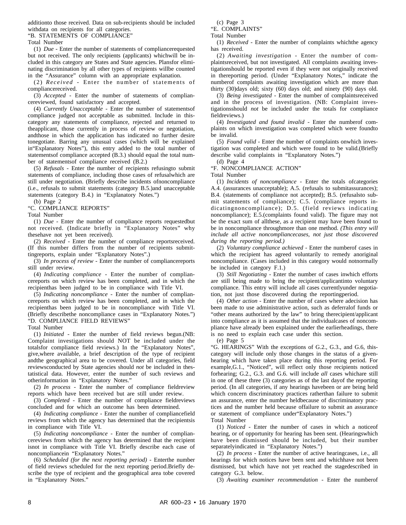additionto those received. Data on sub-recipients should be included withdata on recipients for all categories.

"B. STATEMENTS OF COMPLIANCE"

Total Number

(1) *Due* - Enter the number of statements of compliancerequested but not received. The only recipients (applicants) whichwill be included in this category are States and State agencies. Plansfor eliminating discrimination by all other types of recipients willbe counted in the "Assurance" column with an appropriate explanation.

(2) *Received* - Enter the number of statements of compliancereceived.

(3) *Accepted* - Enter the number of statements of compliancereviewed, found satisfactory and accepted.

(4) *Currently Unacceptable* - Enter the number of statementsof compliance judged not acceptable as submitted. Include in thiscategory any statements of compliance, rejected and returned to theapplicant, those currently in process of review or negotiation, andthose in which the application has indicated no further desire tonegotiate. Barring any unusual cases (which will be explained in"Explanatory Notes"), this entry added to the total number of statementsof compliance accepted (B.3.) should equal the total number of statementsof compliance received (B.2.)

(5) *Refusals* - Enter the number of recipients refusingto submit statements of compliance, including those cases of refusalwhich are still under negotiation. (Briefly describe incidents ofnoncompliance (i.e., refusals to submit statements (category B.5.)and unacceptable statements (category B.4.) in "Explanatory Notes.") (b) Page 2

"C. COMPLIANCE REPORTS"

Total Number

(1) *Due* - Enter the number of compliance reports requestedbut not received. (Indicate briefly in "Explanatory Notes" why thesehave not yet been received).

(2) *Received* - Enter the number of compliance reportsreceived. (If this number differs from the number of recipients submittingreports, explain under "Explanatory Notes".)

(3) *In process of review* - Enter the number of compliancereports still under review.

(4) *Indicating compliance* - Enter the number of compliancereports on which review has been completed, and in which the recipienthas been judged to be in compliance with Title VI.

(5) *Indicating noncompliance* - Enter the number of compliancereports on which review has been completed, and in which the recipienthas been judged to be in noncompliance with Title VI. (Briefly describethe noncompliance cases in "Explanatory Notes.") "D. COMPLIANCE FIELD REVIEWS"

Total Number

(1) *Initiated* - Enter the number of field reviews begun.(NB: Complaint investigations should NOT be included under the totalsfor compliance field reviews.) In the "Explanatory Notes", give,where available, a brief description of the type of recipient andthe geographical area to be covered. Under all categories, field reviewsconducted by State agencies should *not* be included in thestatistical data. However, enter the number of such reviews and otherinformation in "Explanatory Notes."

(2) *In process* - Enter the number of compliance fieldreview reports which have been received but are still under review.

(3) *Completed* - Enter the number of compliance fieldreviews concluded and for which an outcome has been determined.

(4) *Indicating compliance* - Enter the number of compliancefield reviews from which the agency has determined that the recipientsis in compliance with Title VI.

(5) *Indicating noncompliance* - Enter the number of compliancereviews from which the agency has determined that the recipient isnot in compliance with Title VI. Briefly describe each case of noncompliancein "Explanatory Notes."

(6) *Scheduled (for the next reporting period)* - Enterthe number of field reviews scheduled for the next reporting period.Briefly describe the type of recipient and the geographical area tobe covered in "Explanatory Notes."

(c) Page 3

"E. COMPLAINTS" Total Number

(1) *Received* - Enter the number of complaints whichthe agency has received.

(2) *Awaiting investigation* - Enter the number of complaintsreceived, but not investigated. All complaints awaiting investigationshould be reported even if they were not originally received in thereporting period. (Under "Explanatory Notes," indicate the numberof complaints awaiting investigation which are more than thirty (30)days old; sixty (60) days old; and ninety (90) days old.

(3) *Being investigated* - Enter the number of complaintsreceived and in the process of investigation. (NB: Complaint investigationsshould *not* be included under the totals for compliance fieldreviews.)

(4) *Investigated and found invalid* - Enter the numberof complaints on which investigation was completed which were foundto be invalid.

(5) *Found valid* - Enter the number of complaints onwhich investigation was completed and which were found to be valid.(Briefly describe valid complaints in "Explanatory Notes.")

(d) Page 4

"F. NONCOMPLIANCE ACTION"

Total Number

(1) *Incidents of noncompliance* - Enter the totals ofcategories A.4. (assurances unacceptable); A.5. (refusals to submitassurances); B.4. (statements of compliance not accepted); B.5. (refusalsto submit statements of compliance); C.5. (compliance reports indicating non compliance); D.5. (field reviews indicating noncompliance); E.5.(complaints found valid). The figure may not be the exact sum of allthese, as a recipient may have been found to be in noncompliance throughmore than one method. *(This entry will include all active noncompliancecases, not just those discovered during the reporting period.)*

(2) *Voluntary compliance achieved* - Enter the numberof cases in which the recipient has agreed voluntarily to remedy anoriginal noncompliance. (Cases included in this category would notnormally be included in category F.1.)

(3) *Still Negotiating* - Enter the number of cases inwhich efforts are still being made to bring the recipient/applicantinto voluntary compliance. This entry will include all cases currentlyunder negotiation, not just those discovered during the reportingperiod.

(4) *Other action* - Enter the number of cases where adecision has been made to use administrative action, such as deferralof funds or "other means authorized by the law" to bring therecipient/applicant into compliance as it is assumed that the individualcases of noncompliance have already been explained under the earlierheadings, there is no need to explain each case under this section.

(e) Page 5

"G. HEARINGS" With the exceptions of G.2., G.3., and G.6, thiscategory will include only those changes in the status of a givenhearing which have taken place during this reporting period. For example,G.1., "Noticed", will reflect only those recipients noticed forhearing; G.2., G.3. and G.6. will include *all* cases whichare still in one of these three (3) categories as of the last dayof the reporting period. (In all categories, if any hearings havebeen or are being held which concern discriminatory practices ratherthan failure to submit an assurance, enter the number heldbecause of discriminatory practices and the number held because offailure to submit an assurance or statement of compliance under"Explanatory Notes.") Total Number

(1) *Noticed* - Enter the number of cases in which a noticeof hearing, or of opportunity for hearing has been sent. (Hearingswhich have been dismissed should be included, but their number

separatelyindicated in "Explanatory Notes.") (2) *In process* - Enter the number of active hearingcases, i.e., all hearings for which notices have been sent and whichhave not been dismissed, but which have not yet reached the stagedescribed in category G.3. below.

(3) Awaiting examiner recommendation - Enter the numberof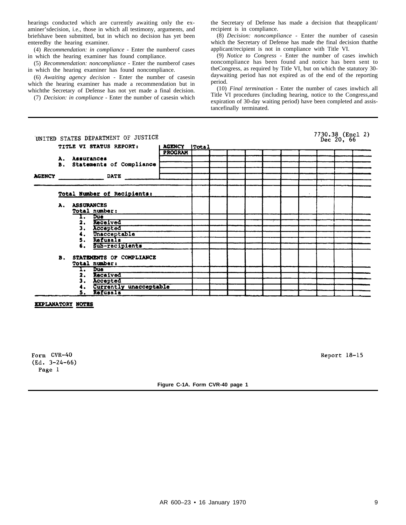hearings conducted which are currently awaiting only the examiner'sdecision, i.e., those in which all testimony, arguments, and briefshave been submitted, but in which no decision has yet been enteredby the hearing examiner.

(4) *Recommendation: in compliance* - Enter the numberof cases in which the hearing examiner has found compliance.

(5) *Recommendation: noncompliance* - Enter the numberof cases in which the hearing examiner has found noncompliance.

(6) Awaiting agency decision - Enter the number of casesin which the hearing examiner has made a recommendation but in whichthe Secretary of Defense has not yet made a final decision.

(7) *Decision: in compliance* - Enter the number of casesin which

the Secretary of Defense has made a decision that theapplicant/ recipient is in compliance.

(8) *Decision: noncompliance* - Enter the number of casesin which the Secretary of Defense has made the final decision thatthe applicant/recipient is not in compliance with Title VI.

(9) *Notice to Congress* - Enter the number of cases inwhich noncompliance has been found and notice has been sent to theCongress, as required by Title VI, but on which the statutory 30 daywaiting period has not expired as of the end of the reporting period.

(10) *Final termination* - Enter the number of cases inwhich all Title VI procedures (including hearing, notice to the Congress,and expiration of 30-day waiting period) have been completed and assistancefinally terminated.

|               | UNITED STATES DEPARTMENT OF JUSTICE |               |                                                     |                |  |  |  |  |  |  | 7730.38 (Encl 2)<br>Dec 20, 66 |  |  |  |
|---------------|-------------------------------------|---------------|-----------------------------------------------------|----------------|--|--|--|--|--|--|--------------------------------|--|--|--|
|               |                                     |               | TITLE VI STATUS REPORT:                             | AGENCY   Total |  |  |  |  |  |  |                                |  |  |  |
|               |                                     |               |                                                     | <b>PROGRAM</b> |  |  |  |  |  |  |                                |  |  |  |
|               |                                     | A. Assurances |                                                     |                |  |  |  |  |  |  |                                |  |  |  |
|               |                                     |               | B. Statements of Compliance                         |                |  |  |  |  |  |  |                                |  |  |  |
|               |                                     |               |                                                     |                |  |  |  |  |  |  |                                |  |  |  |
| <b>AGENCY</b> |                                     |               | <b>DATE</b>                                         |                |  |  |  |  |  |  |                                |  |  |  |
|               |                                     |               |                                                     |                |  |  |  |  |  |  |                                |  |  |  |
|               |                                     |               | Total Number of Recipients:                         |                |  |  |  |  |  |  |                                |  |  |  |
|               |                                     | A. ASSURANCES | Total number:                                       |                |  |  |  |  |  |  |                                |  |  |  |
|               |                                     | ı.            | Due                                                 |                |  |  |  |  |  |  |                                |  |  |  |
|               |                                     |               | Received                                            |                |  |  |  |  |  |  |                                |  |  |  |
|               |                                     | 3.            | Accepted                                            |                |  |  |  |  |  |  |                                |  |  |  |
|               |                                     |               | Unacceptable                                        |                |  |  |  |  |  |  |                                |  |  |  |
|               |                                     |               | Refusals                                            |                |  |  |  |  |  |  |                                |  |  |  |
|               |                                     | 6.            | Sub-recipients                                      |                |  |  |  |  |  |  |                                |  |  |  |
|               |                                     |               | <b>B. STATEMENTS OF COMPLIANCE</b><br>Total number: |                |  |  |  |  |  |  |                                |  |  |  |
|               |                                     |               | Due                                                 |                |  |  |  |  |  |  |                                |  |  |  |
|               |                                     | 2.            | Received                                            |                |  |  |  |  |  |  |                                |  |  |  |
|               |                                     | 3.            | Accepted                                            |                |  |  |  |  |  |  |                                |  |  |  |
|               |                                     |               | Currently unacceptable                              |                |  |  |  |  |  |  |                                |  |  |  |
|               |                                     | 5.            | Refusals                                            |                |  |  |  |  |  |  |                                |  |  |  |

**EXPLANATORY NOTES** 

Form CVR-40  $(Ed. 3-24-66)$ Page 1

Report 18-15

**Figure C-1A. Form CVR-40 page 1**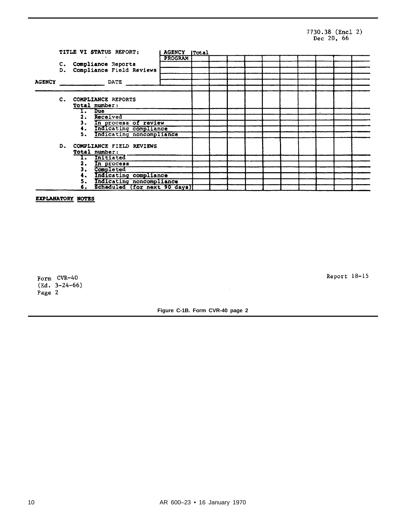## 7730.38 (Encl 2)<br>Dec 20, 66

|               |                |    | TITLE VI STATUS REPORT:      | AGENCY [Total |  |  |  |  |  |
|---------------|----------------|----|------------------------------|---------------|--|--|--|--|--|
|               |                |    |                              | PROGRAM       |  |  |  |  |  |
|               |                |    | C. Compliance Reports        |               |  |  |  |  |  |
|               | D.             |    | Compliance Field Reviews     |               |  |  |  |  |  |
|               |                |    |                              |               |  |  |  |  |  |
| <b>AGENCY</b> |                |    | DATE                         |               |  |  |  |  |  |
|               |                |    |                              |               |  |  |  |  |  |
|               | $\mathbf{c}$ . |    | <b>COMPLIANCE REPORTS</b>    |               |  |  |  |  |  |
|               |                |    | Total number:                |               |  |  |  |  |  |
|               |                |    | I. Due                       |               |  |  |  |  |  |
|               |                |    | Received                     |               |  |  |  |  |  |
|               |                | 3. | In process of review         |               |  |  |  |  |  |
|               |                |    | Indicating compliance        |               |  |  |  |  |  |
|               |                | 5. |                              |               |  |  |  |  |  |
|               |                |    | Indicating noncompliance     |               |  |  |  |  |  |
|               |                |    | D. COMPLIANCE FIELD REVIEWS  |               |  |  |  |  |  |
|               |                |    | Total number:                |               |  |  |  |  |  |
|               |                |    | Initiated                    |               |  |  |  |  |  |
|               |                | 2. | In process                   |               |  |  |  |  |  |
|               |                | з. | Completed                    |               |  |  |  |  |  |
|               |                |    | Indicating compliance        |               |  |  |  |  |  |
|               |                | 5. | Indicating noncompliance     |               |  |  |  |  |  |
|               |                | 6. | Scheduled (for next 90 days) |               |  |  |  |  |  |

EXPLANATORY NOTES

Form CVR-40  $(Ed. 3-24-66)$ Page 2

Report 18-15

**Figure C-1B. Form CVR-40 page 2**

 $\bar{z}$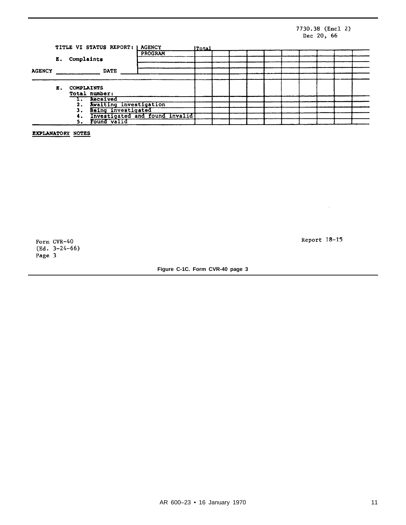#### 7730.38 (Encl 2) Dec 20, 66

|               |    |                   | TITLE VI STATUS REPORT:        | AGENCY  | <b>ITatal</b> |  |  |  |  |  |  |  |  |  |
|---------------|----|-------------------|--------------------------------|---------|---------------|--|--|--|--|--|--|--|--|--|
|               |    |                   |                                | PROGRAM |               |  |  |  |  |  |  |  |  |  |
|               | Е. | Complaints        |                                |         |               |  |  |  |  |  |  |  |  |  |
|               |    |                   |                                |         |               |  |  |  |  |  |  |  |  |  |
| <b>AGENCY</b> |    |                   | <b>DATE</b>                    |         |               |  |  |  |  |  |  |  |  |  |
|               |    |                   |                                |         |               |  |  |  |  |  |  |  |  |  |
|               | E. | <b>COMPLAINTS</b> |                                |         |               |  |  |  |  |  |  |  |  |  |
|               |    |                   | Total number:                  |         |               |  |  |  |  |  |  |  |  |  |
|               |    |                   | Received                       |         |               |  |  |  |  |  |  |  |  |  |
|               |    | 2.                | Awaiting investigation         |         |               |  |  |  |  |  |  |  |  |  |
|               |    |                   | Being investigated             |         |               |  |  |  |  |  |  |  |  |  |
|               |    |                   | Investigated and found invalid |         |               |  |  |  |  |  |  |  |  |  |
|               |    | 5.                | Found valid                    |         |               |  |  |  |  |  |  |  |  |  |

EXPLANATORY NOTES

Form CVR-40<br>(Ed. 3-24-66) Page 3

Report 18-15

 $\mathcal{L}^{\pm}$ 

**Figure C-1C. Form CVR-40 page 3**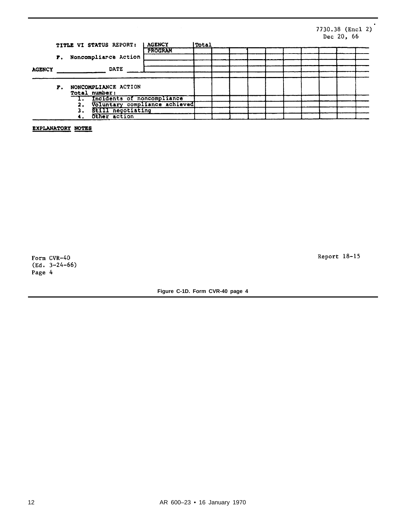#### 7730.38 (Encl 2) Dec 20, 66

 $\blacksquare$ 

|               |    |  | TITLE VI STATUS REPORT:               | <b>AGENCY</b> | <b>ITotal</b> |  |  |  |  |  |  |  |  |  |
|---------------|----|--|---------------------------------------|---------------|---------------|--|--|--|--|--|--|--|--|--|
|               |    |  |                                       | PROGRAM       |               |  |  |  |  |  |  |  |  |  |
|               | Р. |  | Noncompliarce Action                  |               |               |  |  |  |  |  |  |  |  |  |
|               |    |  |                                       |               |               |  |  |  |  |  |  |  |  |  |
| <b>AGENCY</b> |    |  | <b>DATE</b>                           |               |               |  |  |  |  |  |  |  |  |  |
|               |    |  |                                       |               |               |  |  |  |  |  |  |  |  |  |
|               | F. |  | NONCOMPLIANCE ACTION<br>Total number: |               |               |  |  |  |  |  |  |  |  |  |
|               |    |  | 1. Incidents of noncompliance         |               |               |  |  |  |  |  |  |  |  |  |
|               |    |  | Voluntary compliance achieved         |               |               |  |  |  |  |  |  |  |  |  |
|               |    |  | Still negotiating                     |               |               |  |  |  |  |  |  |  |  |  |
| Other action  |    |  |                                       |               |               |  |  |  |  |  |  |  |  |  |

EXPLANATORY NOTES

Form CVR-40  $(Ed. 3-24-66)$ Page 4

Report 18-15

**Figure C-1D. Form CVR-40 page 4**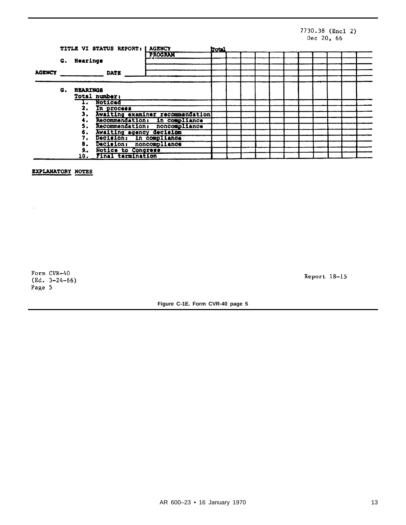## 7730.38 (Encl 2)<br>Dec 20, 66

|               |    |                 | TITLE VI STATUS REPORT: I AGENCY | Irotal                           |  |  |  |  |  |  |  |  |  |  |
|---------------|----|-----------------|----------------------------------|----------------------------------|--|--|--|--|--|--|--|--|--|--|
|               |    |                 |                                  | <b>PROGRAM</b>                   |  |  |  |  |  |  |  |  |  |  |
|               |    | G. Hearings     |                                  |                                  |  |  |  |  |  |  |  |  |  |  |
|               |    |                 |                                  |                                  |  |  |  |  |  |  |  |  |  |  |
| <b>AGENCY</b> |    |                 | DATE                             |                                  |  |  |  |  |  |  |  |  |  |  |
|               |    |                 |                                  |                                  |  |  |  |  |  |  |  |  |  |  |
|               | G. | <b>HEARINGS</b> |                                  |                                  |  |  |  |  |  |  |  |  |  |  |
|               |    | Total number:   |                                  |                                  |  |  |  |  |  |  |  |  |  |  |
|               |    |                 | Noticed                          |                                  |  |  |  |  |  |  |  |  |  |  |
|               |    | 2.              | In process                       |                                  |  |  |  |  |  |  |  |  |  |  |
|               |    | з.              |                                  | Awaiting examiner recommendation |  |  |  |  |  |  |  |  |  |  |
|               |    |                 |                                  | Recommendation: in compliance    |  |  |  |  |  |  |  |  |  |  |
|               |    | 5.              |                                  | Recommendation: noncompliance    |  |  |  |  |  |  |  |  |  |  |
|               |    | 6.              | Awaiting agency decision         |                                  |  |  |  |  |  |  |  |  |  |  |
|               |    |                 | Decision: In compliance          |                                  |  |  |  |  |  |  |  |  |  |  |
|               |    | 8.              | Decision: noncompliance          |                                  |  |  |  |  |  |  |  |  |  |  |
|               |    | 9.,             | Notice to Congress               |                                  |  |  |  |  |  |  |  |  |  |  |
|               |    | 10.             | Final termination                |                                  |  |  |  |  |  |  |  |  |  |  |

EXPLANATORY NOTES

Form CVR-40  $(Ed. 3-24-66)$ Page 5

 $\ddot{\phantom{0}}$ 

Report 18-15

**Figure C-1E. Form CVR-40 page 5**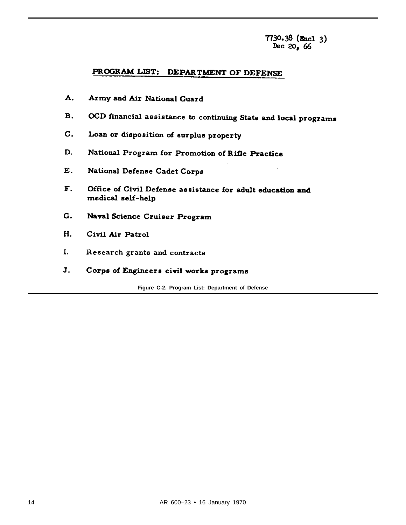7730.38 (Encl 3)<br>Dec 20, 66

## PROGRAM LIST: DEPARTMENT OF DEFENSE

- A. Army and Air National Guard
- OCD financial assistance to continuing State and local programs **B.**
- $\mathsf{C}$ . Loan or disposition of surplus property
- D. National Program for Promotion of Rifle Practice
- E. National Defense Cadet Corps
- F. Office of Civil Defense assistance for adult education and medical self-help
- G. Naval Science Cruiser Program
- H. Civil Air Patrol
- I. Research grants and contracts
- J. Corps of Engineers civil works programs

Figure C-2. Program List: Department of Defense